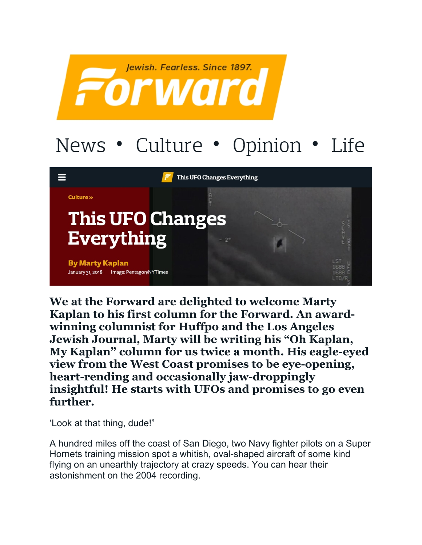

## News • Culture • Opinion • Life



**We at the Forward are delighted to welcome Marty Kaplan to his first column for the Forward. An awardwinning columnist for Huffpo and the Los Angeles Jewish Journal, Marty will be writing his "Oh Kaplan, My Kaplan" column for us twice a month. His eagle-eyed view from the West Coast promises to be eye-opening, heart-rending and occasionally jaw-droppingly insightful! He starts with UFOs and promises to go even further.**

'Look at that thing, dude!"

A hundred miles off the coast of San Diego, two Navy fighter pilots on a Super Hornets training mission spot a whitish, oval-shaped aircraft of some kind flying on an unearthly trajectory at crazy speeds. You can hear their astonishment on the 2004 recording.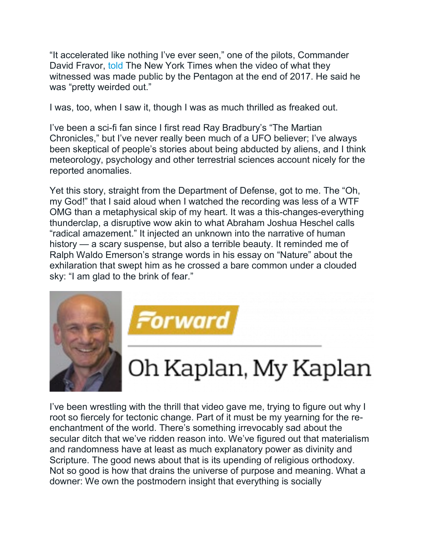"It accelerated like nothing I've ever seen," one of the pilots, Commander David Fravor, [told](https://www.nytimes.com/2017/12/16/us/politics/unidentified-flying-object-navy.html) The New York Times when the video of what they witnessed was made public by the Pentagon at the end of 2017. He said he was "pretty weirded out."

I was, too, when I saw it, though I was as much thrilled as freaked out.

I've been a sci-fi fan since I first read Ray Bradbury's "The Martian Chronicles," but I've never really been much of a UFO believer; I've always been skeptical of people's stories about being abducted by aliens, and I think meteorology, psychology and other terrestrial sciences account nicely for the reported anomalies.

Yet this story, straight from the Department of Defense, got to me. The "Oh, my God!" that I said aloud when I watched the recording was less of a WTF OMG than a metaphysical skip of my heart. It was a this-changes-everything thunderclap, a disruptive wow akin to what Abraham Joshua Heschel calls "radical amazement." It injected an unknown into the narrative of human history — a scary suspense, but also a terrible beauty. It reminded me of Ralph Waldo Emerson's strange words in his essay on "Nature" about the exhilaration that swept him as he crossed a bare common under a clouded sky: "I am glad to the brink of fear."



I've been wrestling with the thrill that video gave me, trying to figure out why I root so fiercely for tectonic change. Part of it must be my yearning for the reenchantment of the world. There's something irrevocably sad about the secular ditch that we've ridden reason into. We've figured out that materialism and randomness have at least as much explanatory power as divinity and Scripture. The good news about that is its upending of religious orthodoxy. Not so good is how that drains the universe of purpose and meaning. What a downer: We own the postmodern insight that everything is socially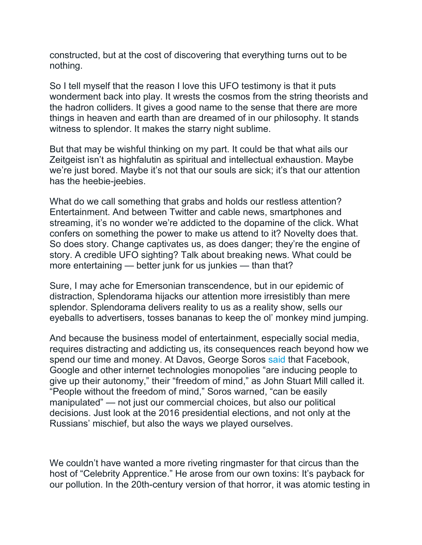constructed, but at the cost of discovering that everything turns out to be nothing.

So I tell myself that the reason I love this UFO testimony is that it puts wonderment back into play. It wrests the cosmos from the string theorists and the hadron colliders. It gives a good name to the sense that there are more things in heaven and earth than are dreamed of in our philosophy. It stands witness to splendor. It makes the starry night sublime.

But that may be wishful thinking on my part. It could be that what ails our Zeitgeist isn't as highfalutin as spiritual and intellectual exhaustion. Maybe we're just bored. Maybe it's not that our souls are sick; it's that our attention has the heebie-jeebies.

What do we call something that grabs and holds our restless attention? Entertainment. And between Twitter and cable news, smartphones and streaming, it's no wonder we're addicted to the dopamine of the click. What confers on something the power to make us attend to it? Novelty does that. So does story. Change captivates us, as does danger; they're the engine of story. A credible UFO sighting? Talk about breaking news. What could be more entertaining — better junk for us junkies — than that?

Sure, I may ache for Emersonian transcendence, but in our epidemic of distraction, Splendorama hijacks our attention more irresistibly than mere splendor. Splendorama delivers reality to us as a reality show, sells our eyeballs to advertisers, tosses bananas to keep the ol' monkey mind jumping.

And because the business model of entertainment, especially social media, requires distracting and addicting us, its consequences reach beyond how we spend our time and money. At Davos, George Soros [said](https://www.georgesoros.com/2018/01/25/remarks-delivered-at-the-world-economic-forum/) that Facebook, Google and other internet technologies monopolies "are inducing people to give up their autonomy," their "freedom of mind," as John Stuart Mill called it. "People without the freedom of mind," Soros warned, "can be easily manipulated" — not just our commercial choices, but also our political decisions. Just look at the 2016 presidential elections, and not only at the Russians' mischief, but also the ways we played ourselves.

We couldn't have wanted a more riveting ringmaster for that circus than the host of "Celebrity Apprentice." He arose from our own toxins: It's payback for our pollution. In the 20th-century version of that horror, it was atomic testing in